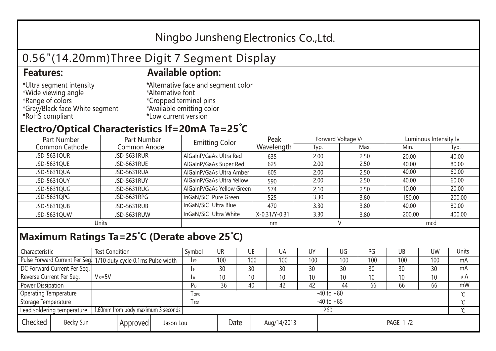## Ningbo Junsheng Electronics Co.,Ltd.

# 0.56"(14.20mm)Three Digit 7 Segment Display

### **Features: Available option:**

- \*Ultra segment intensity \*Wide viewing angle \*Range of colors \*Gray/Black face White segment \*RoHS compliant
- \*Alternative face and segment color \*Alternative font \*Cropped terminal pins \*Available emitting color \*Low current version

### **Electro/Optical Characteristics If=20mA Ta=25 C**

| Part Number    | Part Number        | <b>Emitting Color</b>     | Peak          | Forward Voltage VF |      | Luminous Intensity Iv |        |  |
|----------------|--------------------|---------------------------|---------------|--------------------|------|-----------------------|--------|--|
| Common Cathode | Common Anode       |                           | Wavelength    | Typ.               | Max. | Min.                  | Typ.   |  |
| JSD-5631QUR    | <b>JSD-5631RUR</b> | AlGaInP/GaAs Ultra Red    | 635           | 2.00               | 2.50 | 20.00                 | 40.00  |  |
| JSD-5631QUE    | JSD-5631RUE        | AlGaInP/GaAs Super Red    | 625           | 2.00               | 2.50 | 40.00                 | 80.00  |  |
| JSD-5631QUA    | JSD-5631RUA        | AlGaInP/GaAs Ultra Amber  | 605           | 2.00               | 2.50 | 40.00                 | 60.00  |  |
| JSD-5631QUY    | JSD-5631RUY        | AlGaInP/GaAs Ultra Yellow | 590           | 2.00               | 2.50 | 40.00                 | 60.00  |  |
| JSD-5631QUG    | JSD-5631RUG        | AlGaInP/GaAs Yellow Green | 574           | 2.10               | 2.50 | 10.00                 | 20.00  |  |
| JSD-5631QPG    | JSD-5631RPG        | InGaN/SiC Pure Green      | 525           | 3.30               | 3.80 | 150.00                | 200.00 |  |
| JSD-5631QUB    | JSD-5631RUB        | InGaN/SiC Ultra Blue      | 470           | 3.30               | 3.80 | 40.00                 | 80.00  |  |
| JSD-5631QUW    | JSD-5631RUW        | InGaN/SiC Ultra White     | X-0.31/Y-0.31 | 3.30               | 3.80 | 200.00                | 400.00 |  |
| Units          |                    |                           | nm            |                    |      | mcd                   |        |  |

### **Maximum Ratings Ta=25°C (Derate above 25°C)**

| Characteristic                                |            | <b>Test Condition</b><br>Symbol                                  |                     |                | <b>UR</b>       |                 | UE       | UA  | UY  | UG  | PG  | UB              | <b>UW</b> | <b>Units</b> |  |
|-----------------------------------------------|------------|------------------------------------------------------------------|---------------------|----------------|-----------------|-----------------|----------|-----|-----|-----|-----|-----------------|-----------|--------------|--|
|                                               |            | Pulse Forward Current Per Seg. 1/10 duty cycle 0.1ms Pulse width |                     |                | 100             |                 | 100      | 100 | 100 | 100 | 100 | 100             | 100       | mA           |  |
| DC Forward Current Per Seg.                   |            |                                                                  |                     |                | 30              |                 | 30       | 30  | 30  | 30  | 30  | 30              | 30        | mA           |  |
| Reverse Current Per Seg.                      | $V_R = 5V$ |                                                                  |                     | R              | 10 <sup>°</sup> |                 | 10       | 10  | 10  | 10  | 10  | 10 <sup>°</sup> | 10        | μ $A$        |  |
| <b>Power Dissipation</b>                      |            |                                                                  |                     |                | 36              |                 | 40       | 42  | 42  | 44  | 66  | 66              | 66        | mW           |  |
| <b>Operating Temperature</b>                  |            |                                                                  | <b>OPR</b>          | $-40$ to $+80$ |                 |                 |          |     |     |     |     |                 | $\sim$    |              |  |
| Storage Temperature                           |            | l tsg                                                            | $-40$ to $+85$      |                |                 |                 |          |     |     |     |     | $\gamma$        |           |              |  |
| Lead soldering temperature                    |            | 1.60mm from body maximum 3 seconds                               |                     |                |                 | 260<br>$\gamma$ |          |     |     |     |     |                 |           |              |  |
| Checked<br>Becky Sun<br>Approved<br>Jason Lou |            |                                                                  | Date<br>Aug/14/2013 |                |                 |                 | PAGE 1/2 |     |     |     |     |                 |           |              |  |